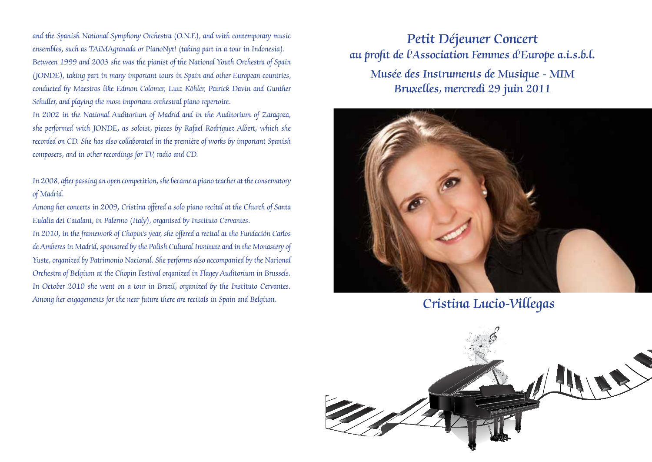and the Spanish National Symphony Orchestra (O.N.E), and with contemporary music ensembles, such as TAiMAgranada or PianoNyt! (taking part in a tour in Indonesia). Between 1999 and 2003 she was the pianist of the National Youth Orchestra of Spain (JONDE), taking part in many important tours in Spain and other European countries, conducted by Maestros like Edmon Colomer, Lutz Köhler, Patrick Davin and Gunther Schuller, and playing the most important orchestral piano repertoire.

In 2002 in the National Auditorium of Madrid and in the Auditorium of Zaragoza, she performed with JONDE, as soloist, pieces by Rafael Rodríguez Albert, which she recorded on CD. She has also collaborated in the première of works by important Spanish composers, and in other recordings for TV, radio and CD.

In 2008, after passing an open competition, she became a piano teacher at the conservatory of Madrid.

Among her concerts in 2009, Cristina offered a solo piano recital at the Church of Santa Eulalia dei Catalani, in Palermo (Italy), organised by Instituto Cervantes.

In 2010, in the framework of Chopin's year, she offered a recital at the Fundación Carlos de Amberes in Madrid, sponsored by the Polish Cultural Institute and in the Monastery of Yuste, organized by Patrimonio Nacional. She performs also accompanied by the Narional Orchestra of Belgium at the Chopin Festival organized in Flagey Auditorium in Brussels. In October 2010 she went on a tour in Brazil, organized by the Instituto Cervantes. Among her engagements for the near future there are recitals in Spain and Belgium. Cristina Lucio-Villegas

Petit Déjeuner Concert au profit de l'Association Femmes d'Europe a.i.s.b.l. Musée des Instruments de Musique - MIM Bruxelles, mercredi 29 juin 2011